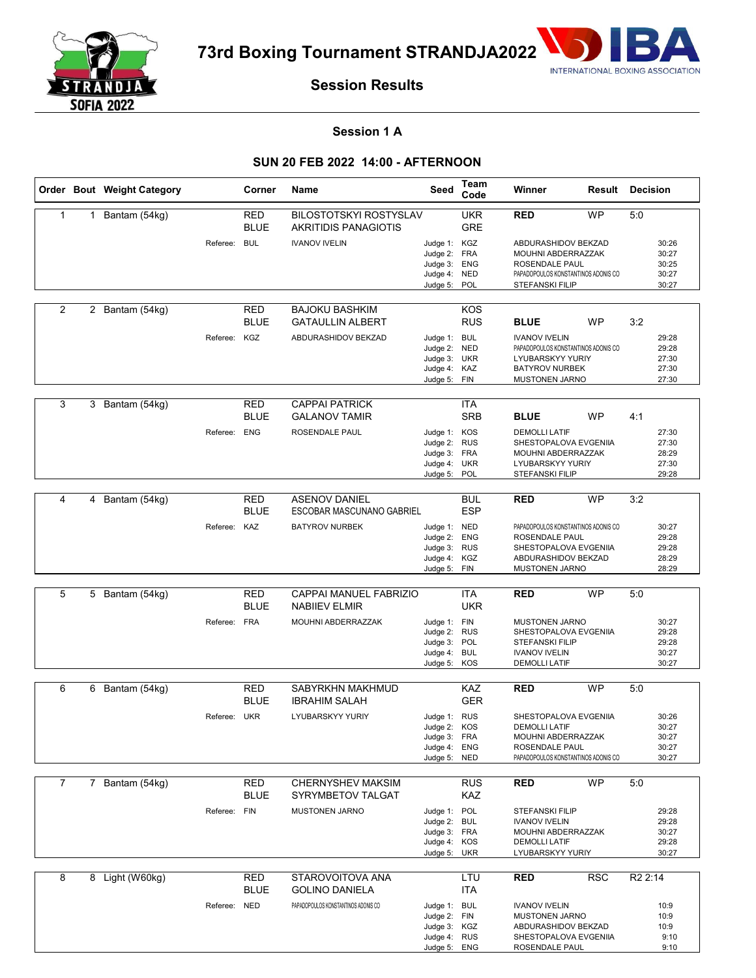

**73rd Boxing Tournament STRANDJA2022**



# **Session Results**

## **Session 1 A**

## **SUN 20 FEB 2022 14:00 - AFTERNOON**

|                |   | Order Bout Weight Category |              | Corner                    | Name                                                         | Seed                                                                         | Team<br>Code             | Winner                                                                                                                            | Result     | <b>Decision</b>                           |  |
|----------------|---|----------------------------|--------------|---------------------------|--------------------------------------------------------------|------------------------------------------------------------------------------|--------------------------|-----------------------------------------------------------------------------------------------------------------------------------|------------|-------------------------------------------|--|
| 1              |   | 1 Bantam (54kg)            |              | RED<br><b>BLUE</b>        | <b>BILOSTOTSKYI ROSTYSLAV</b><br><b>AKRITIDIS PANAGIOTIS</b> |                                                                              | <b>UKR</b><br><b>GRE</b> | <b>RED</b>                                                                                                                        | <b>WP</b>  | 5:0                                       |  |
|                |   |                            | Referee: BUL |                           | <b>IVANOV IVELIN</b>                                         | Judge 1: KGZ<br>Judge 2: FRA<br>Judge 3: ENG<br>Judge 4: NED<br>Judge 5:     | POL                      | ABDURASHIDOV BEKZAD<br>MOUHNI ABDERRAZZAK<br>ROSENDALE PAUL<br>PAPADOPOULOS KONSTANTINOS ADONIS CO<br><b>STEFANSKI FILIP</b>      |            | 30:26<br>30:27<br>30:25<br>30:27<br>30:27 |  |
| $\overline{2}$ |   | 2 Bantam (54kg)            |              | RED<br><b>BLUE</b>        | <b>BAJOKU BASHKIM</b><br><b>GATAULLIN ALBERT</b>             |                                                                              | KOS<br><b>RUS</b>        | <b>BLUE</b>                                                                                                                       | <b>WP</b>  | 3:2                                       |  |
|                |   |                            | Referee: KGZ |                           | ABDURASHIDOV BEKZAD                                          | Judge 1: BUL<br>Judge 2: NED<br>Judge 3: UKR<br>Judge 4: KAZ<br>Judge 5: FIN |                          | <b>IVANOV IVELIN</b><br>PAPADOPOULOS KONSTANTINOS ADONIS CO<br>LYUBARSKYY YURIY<br><b>BATYROV NURBEK</b><br><b>MUSTONEN JARNO</b> |            | 29:28<br>29:28<br>27:30<br>27:30<br>27:30 |  |
| 3              | 3 | Bantam (54kg)              |              | RED<br><b>BLUE</b>        | <b>CAPPAI PATRICK</b><br><b>GALANOV TAMIR</b>                |                                                                              | <b>ITA</b><br><b>SRB</b> | <b>BLUE</b>                                                                                                                       | <b>WP</b>  | 4:1                                       |  |
|                |   |                            | Referee: ENG |                           | ROSENDALE PAUL                                               | Judge 1: KOS<br>Judge 2: RUS<br>Judge 3: FRA<br>Judge 4: UKR<br>Judge 5: POL |                          | <b>DEMOLLI LATIF</b><br>SHESTOPALOVA EVGENIIA<br>MOUHNI ABDERRAZZAK<br>LYUBARSKYY YURIY<br><b>STEFANSKI FILIP</b>                 |            | 27:30<br>27:30<br>28:29<br>27:30<br>29:28 |  |
| 4              | 4 |                            |              | <b>RED</b>                | <b>ASENOV DANIEL</b>                                         |                                                                              | <b>BUL</b>               | <b>RED</b>                                                                                                                        | <b>WP</b>  | 3:2                                       |  |
|                |   | Bantam (54kg)              |              | <b>BLUE</b>               | ESCOBAR MASCUNANO GABRIEL                                    |                                                                              | <b>ESP</b>               |                                                                                                                                   |            |                                           |  |
|                |   |                            | Referee: KAZ |                           | <b>BATYROV NURBEK</b>                                        | Judge 1: NED<br>Judge 2: ENG<br>Judge 3: RUS<br>Judge 4: KGZ<br>Judge 5: FIN |                          | PAPADOPOULOS KONSTANTINOS ADONIS CO<br>ROSENDALE PAUL<br>SHESTOPALOVA EVGENIIA<br>ABDURASHIDOV BEKZAD<br><b>MUSTONEN JARNO</b>    |            | 30:27<br>29:28<br>29:28<br>28:29<br>28:29 |  |
|                |   |                            |              |                           |                                                              |                                                                              |                          |                                                                                                                                   |            |                                           |  |
| 5              |   | 5 Bantam (54kg)            |              | <b>RED</b><br><b>BLUE</b> | CAPPAI MANUEL FABRIZIO<br><b>NABILEV ELMIR</b>               |                                                                              | <b>ITA</b><br><b>UKR</b> | <b>RED</b>                                                                                                                        | <b>WP</b>  | 5:0                                       |  |
|                |   |                            | Referee: FRA |                           | MOUHNI ABDERRAZZAK                                           | Judge 1: FIN<br>Judge 2: RUS<br>Judge 3: POL<br>Judge 4: BUL<br>Judge 5:     | KOS                      | <b>MUSTONEN JARNO</b><br>SHESTOPALOVA EVGENIIA<br><b>STEFANSKI FILIP</b><br><b>IVANOV IVELIN</b><br><b>DEMOLLI LATIF</b>          |            | 30:27<br>29:28<br>29:28<br>30:27<br>30:27 |  |
| 6              |   | 6 Bantam (54kg)            |              | RED                       | SABYRKHN MAKHMUD                                             |                                                                              | KAZ                      | <b>RED</b>                                                                                                                        | <b>WP</b>  | 5:0                                       |  |
|                |   |                            |              | <b>BLUE</b>               | <b>IBRAHIM SALAH</b>                                         |                                                                              | <b>GER</b>               |                                                                                                                                   |            |                                           |  |
|                |   |                            | Referee: UKR |                           | <b>LYUBARSKYY YURIY</b>                                      | Judge 1: RUS<br>Judge 2: KOS<br>Judge 3: FRA<br>Judge 4: ENG<br>Judge 5: NED |                          | SHESTOPALOVA EVGENIIA<br><b>DEMOLLI LATIF</b><br>MOUHNI ABDERRAZZAK<br>ROSENDALE PAUL<br>PAPADOPOULOS KONSTANTINOS ADONIS CO      |            | 30:26<br>30:27<br>30:27<br>30:27<br>30:27 |  |
| $\overline{7}$ |   | 7 Bantam (54kg)            |              | <b>RED</b>                | <b>CHERNYSHEV MAKSIM</b>                                     |                                                                              | <b>RUS</b>               | <b>RED</b>                                                                                                                        | <b>WP</b>  | 5:0                                       |  |
|                |   |                            |              | <b>BLUE</b>               | SYRYMBETOV TALGAT                                            |                                                                              | KAZ                      |                                                                                                                                   |            |                                           |  |
|                |   |                            | Referee: FIN |                           | <b>MUSTONEN JARNO</b>                                        | Judge 1: POL<br>Judge 2: BUL<br>Judge 3: FRA<br>Judge 4: KOS<br>Judge 5: UKR |                          | <b>STEFANSKI FILIP</b><br><b>IVANOV IVELIN</b><br>MOUHNI ABDERRAZZAK<br><b>DEMOLLI LATIF</b><br>LYUBARSKYY YURIY                  |            | 29:28<br>29:28<br>30:27<br>29:28<br>30:27 |  |
| 8              |   | 8 Light (W60kg)            |              | <b>RED</b>                | STAROVOITOVA ANA                                             |                                                                              | LTU                      | <b>RED</b>                                                                                                                        | <b>RSC</b> | R <sub>2</sub> 2:14                       |  |
|                |   |                            | Referee: NED | <b>BLUE</b>               | <b>GOLINO DANIELA</b><br>PAPADOPOULOS KONSTANTINOS ADONIS CO | Judge 1: BUL<br>Judge 2: FIN<br>Judge 3: KGZ<br>Judge 4: RUS<br>Judge 5: ENG | <b>ITA</b>               | <b>IVANOV IVELIN</b><br><b>MUSTONEN JARNO</b><br>ABDURASHIDOV BEKZAD<br>SHESTOPALOVA EVGENIIA<br>ROSENDALE PAUL                   |            | 10:9<br>10:9<br>10:9<br>9:10<br>9:10      |  |